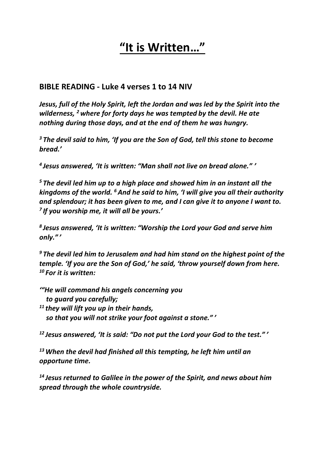# **"It is Written…"**

#### **BIBLE READING - Luke 4 verses 1 to 14 NIV**

*Jesus, full of the Holy Spirit, left the Jordan and was led by the Spirit into the wilderness, <sup>2</sup> where for forty days he was tempted by the devil. He ate nothing during those days, and at the end of them he was hungry.*

*<sup>3</sup> The devil said to him, 'If you are the Son of God, tell this stone to become bread.'*

*4 Jesus answered, 'It is written: "Man shall not live on bread alone." '*

*<sup>5</sup> The devil led him up to a high place and showed him in an instant all the kingdoms of the world. <sup>6</sup> And he said to him, 'I will give you all their authority and splendour; it has been given to me, and I can give it to anyone I want to. 7 If you worship me, it will all be yours.'*

*8 Jesus answered, 'It is written: "Worship the Lord your God and serve him only." '*

*<sup>9</sup> The devil led him to Jerusalem and had him stand on the highest point of the temple. 'If you are the Son of God,' he said, 'throw yourself down from here. <sup>10</sup> For it is written:*

*'"He will command his angels concerning you to guard you carefully; <sup>11</sup> they will lift you up in their hands, so that you will not strike your foot against a stone." '*

*<sup>12</sup> Jesus answered, 'It is said: "Do not put the Lord your God to the test." '*

*<sup>13</sup>When the devil had finished all this tempting, he left him until an opportune time.*

*<sup>14</sup> Jesus returned to Galilee in the power of the Spirit, and news about him spread through the whole countryside.*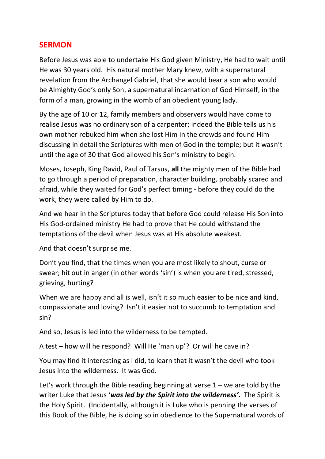## **SERMON**

Before Jesus was able to undertake His God given Ministry, He had to wait until He was 30 years old. His natural mother Mary knew, with a supernatural revelation from the Archangel Gabriel, that she would bear a son who would be Almighty God's only Son, a supernatural incarnation of God Himself, in the form of a man, growing in the womb of an obedient young lady.

By the age of 10 or 12, family members and observers would have come to realise Jesus was no ordinary son of a carpenter; indeed the Bible tells us his own mother rebuked him when she lost Him in the crowds and found Him discussing in detail the Scriptures with men of God in the temple; but it wasn't until the age of 30 that God allowed his Son's ministry to begin.

Moses, Joseph, King David, Paul of Tarsus, **all** the mighty men of the Bible had to go through a period of preparation, character building, probably scared and afraid, while they waited for God's perfect timing - before they could do the work, they were called by Him to do.

And we hear in the Scriptures today that before God could release His Son into His God-ordained ministry He had to prove that He could withstand the temptations of the devil when Jesus was at His absolute weakest.

And that doesn't surprise me.

Don't you find, that the times when you are most likely to shout, curse or swear; hit out in anger (in other words 'sin') is when you are tired, stressed, grieving, hurting?

When we are happy and all is well, isn't it so much easier to be nice and kind, compassionate and loving? Isn't it easier not to succumb to temptation and sin?

And so, Jesus is led into the wilderness to be tempted.

A test – how will he respond? Will He 'man up'? Or will he cave in?

You may find it interesting as I did, to learn that it wasn't the devil who took Jesus into the wilderness. It was God.

Let's work through the Bible reading beginning at verse  $1 -$  we are told by the writer Luke that Jesus '*was led by the Spirit into the wilderness'.* The Spirit is the Holy Spirit. (Incidentally, although it is Luke who is penning the verses of this Book of the Bible, he is doing so in obedience to the Supernatural words of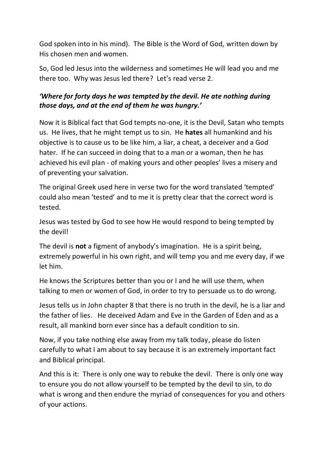God spoken into in his mind). The Bible is the Word of God, written down by His chosen men and women.

So, God led Jesus into the wilderness and sometimes He will lead you and me there too. Why was Jesus led there? Let's read verse 2.

## *'Where for forty days he was tempted by the devil. He ate nothing during those days, and at the end of them he was hungry.'*

Now it is Biblical fact that God tempts no-one, it is the Devil, Satan who tempts us. He lives, that he might tempt us to sin. He **hates** all humankind and his objective is to cause us to be like him, a liar, a cheat, a deceiver and a God hater. If he can succeed in doing that to a man or a woman, then he has achieved his evil plan - of making yours and other peoples' lives a misery and of preventing your salvation.

The original Greek used here in verse two for the word translated 'tempted' could also mean 'tested' and to me it is pretty clear that the correct word is tested.

Jesus was tested by God to see how He would respond to being tempted by the devil!

The devil is **not** a figment of anybody's imagination. He is a spirit being, extremely powerful in his own right, and will temp you and me every day, if we let him.

He knows the Scriptures better than you or I and he will use them, when talking to men or women of God, in order to try to persuade us to do wrong.

Jesus tells us in John chapter 8 that there is no truth in the devil, he is a liar and the father of lies. He deceived Adam and Eve in the Garden of Eden and as a result, all mankind born ever since has a default condition to sin.

Now, if you take nothing else away from my talk today, please do listen carefully to what I am about to say because it is an extremely important fact and Biblical principal.

And this is it: There is only one way to rebuke the devil. There is only one way to ensure you do not allow yourself to be tempted by the devil to sin, to do what is wrong and then endure the myriad of consequences for you and others of your actions.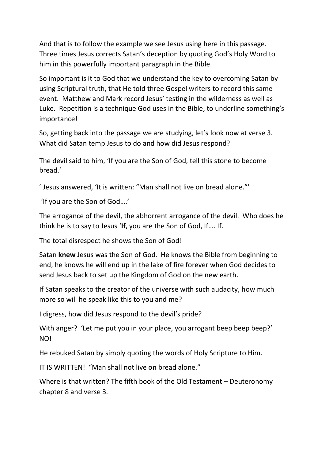And that is to follow the example we see Jesus using here in this passage. Three times Jesus corrects Satan's deception by quoting God's Holy Word to him in this powerfully important paragraph in the Bible.

So important is it to God that we understand the key to overcoming Satan by using Scriptural truth, that He told three Gospel writers to record this same event. Matthew and Mark record Jesus' testing in the wilderness as well as Luke. Repetition is a technique God uses in the Bible, to underline something's importance!

So, getting back into the passage we are studying, let's look now at verse 3. What did Satan temp Jesus to do and how did Jesus respond?

The devil said to him, 'If you are the Son of God, tell this stone to become bread.'

4 Jesus answered, 'It is written: "Man shall not live on bread alone."'

'If you are the Son of God….'

The arrogance of the devil, the abhorrent arrogance of the devil. Who does he think he is to say to Jesus '**If**, you are the Son of God, If…. If.

The total disrespect he shows the Son of God!

Satan **knew** Jesus was the Son of God. He knows the Bible from beginning to end, he knows he will end up in the lake of fire forever when God decides to send Jesus back to set up the Kingdom of God on the new earth.

If Satan speaks to the creator of the universe with such audacity, how much more so will he speak like this to you and me?

I digress, how did Jesus respond to the devil's pride?

With anger? 'Let me put you in your place, you arrogant beep beep beep?' NO!

He rebuked Satan by simply quoting the words of Holy Scripture to Him.

IT IS WRITTEN! "Man shall not live on bread alone."

Where is that written? The fifth book of the Old Testament – Deuteronomy chapter 8 and verse 3.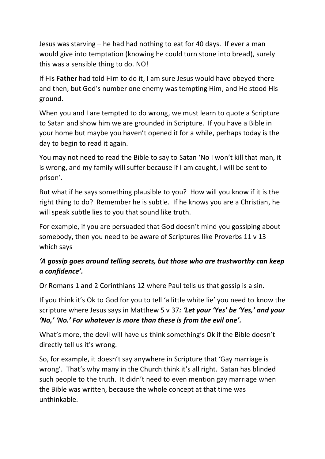Jesus was starving – he had had nothing to eat for 40 days. If ever a man would give into temptation (knowing he could turn stone into bread), surely this was a sensible thing to do. NO!

If His F**ather** had told Him to do it, I am sure Jesus would have obeyed there and then, but God's number one enemy was tempting Him, and He stood His ground.

When you and I are tempted to do wrong, we must learn to quote a Scripture to Satan and show him we are grounded in Scripture. If you have a Bible in your home but maybe you haven't opened it for a while, perhaps today is the day to begin to read it again.

You may not need to read the Bible to say to Satan 'No I won't kill that man, it is wrong, and my family will suffer because if I am caught, I will be sent to prison'.

But what if he says something plausible to you? How will you know if it is the right thing to do? Remember he is subtle. If he knows you are a Christian, he will speak subtle lies to you that sound like truth.

For example, if you are persuaded that God doesn't mind you gossiping about somebody, then you need to be aware of Scriptures like Proverbs 11 v 13 which says

## *'A gossip goes around telling secrets, but those who are trustworthy can keep a confidence'.*

Or Romans 1 and 2 Corinthians 12 where Paul tells us that gossip is a sin.

If you think it's Ok to God for you to tell 'a little white lie' you need to know the scripture where Jesus says in Matthew 5 v 37*: 'Let your 'Yes' be 'Yes,' and your 'No,' 'No.' For whatever is more than these is from the evil one'.*

What's more, the devil will have us think something's Ok if the Bible doesn't directly tell us it's wrong.

So, for example, it doesn't say anywhere in Scripture that 'Gay marriage is wrong'. That's why many in the Church think it's all right. Satan has blinded such people to the truth. It didn't need to even mention gay marriage when the Bible was written, because the whole concept at that time was unthinkable.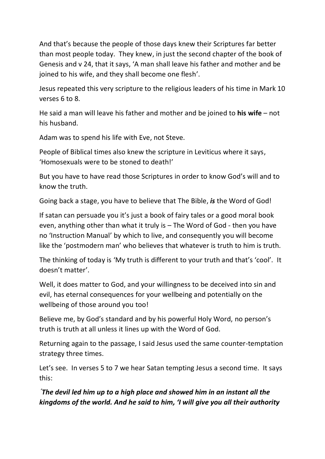And that's because the people of those days knew their Scriptures far better than most people today. They knew, in just the second chapter of the book of Genesis and v 24, that it says, 'A man shall leave his father and mother and be joined to his wife, and they shall become one flesh'.

Jesus repeated this very scripture to the religious leaders of his time in Mark 10 verses 6 to 8.

He said a man will leave his father and mother and be joined to **his wife** – not his husband.

Adam was to spend his life with Eve, not Steve.

People of Biblical times also knew the scripture in Leviticus where it says, 'Homosexuals were to be stoned to death!'

But you have to have read those Scriptures in order to know God's will and to know the truth.

Going back a stage, you have to believe that The Bible, *is* the Word of God!

If satan can persuade you it's just a book of fairy tales or a good moral book even, anything other than what it truly is – The Word of God - then you have no 'Instruction Manual' by which to live, and consequently you will become like the 'postmodern man' who believes that whatever is truth to him is truth.

The thinking of today is 'My truth is different to your truth and that's 'cool'. It doesn't matter'.

Well, it does matter to God, and your willingness to be deceived into sin and evil, has eternal consequences for your wellbeing and potentially on the wellbeing of those around you too!

Believe me, by God's standard and by his powerful Holy Word, no person's truth is truth at all unless it lines up with the Word of God.

Returning again to the passage, I said Jesus used the same counter-temptation strategy three times.

Let's see. In verses 5 to 7 we hear Satan tempting Jesus a second time. It says this:

*'The devil led him up to a high place and showed him in an instant all the kingdoms of the world. And he said to him, 'I will give you all their authority*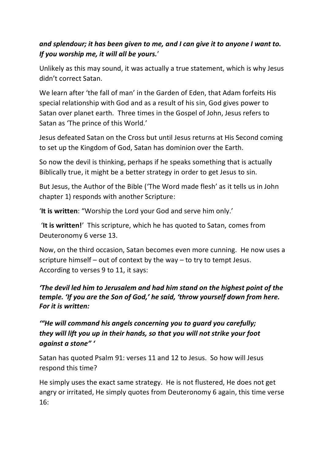## *and splendour; it has been given to me, and I can give it to anyone I want to. If you worship me, it will all be yours.*'

Unlikely as this may sound, it was actually a true statement, which is why Jesus didn't correct Satan.

We learn after 'the fall of man' in the Garden of Eden, that Adam forfeits His special relationship with God and as a result of his sin, God gives power to Satan over planet earth. Three times in the Gospel of John, Jesus refers to Satan as 'The prince of this World.'

Jesus defeated Satan on the Cross but until Jesus returns at His Second coming to set up the Kingdom of God, Satan has dominion over the Earth.

So now the devil is thinking, perhaps if he speaks something that is actually Biblically true, it might be a better strategy in order to get Jesus to sin.

But Jesus, the Author of the Bible ('The Word made flesh' as it tells us in John chapter 1) responds with another Scripture:

'**It is written**: "Worship the Lord your God and serve him only.'

'**It is written!**' This scripture, which he has quoted to Satan, comes from Deuteronomy 6 verse 13.

Now, on the third occasion, Satan becomes even more cunning. He now uses a scripture himself – out of context by the way – to try to tempt Jesus. According to verses 9 to 11, it says:

#### *'The devil led him to Jerusalem and had him stand on the highest point of the temple. 'If you are the Son of God,' he said, 'throw yourself down from here. For it is written:*

*'"He will command his angels concerning you to guard you carefully; they will lift you up in their hands, so that you will not strike your foot against a stone" '*

Satan has quoted Psalm 91: verses 11 and 12 to Jesus. So how will Jesus respond this time?

He simply uses the exact same strategy. He is not flustered, He does not get angry or irritated, He simply quotes from Deuteronomy 6 again, this time verse 16: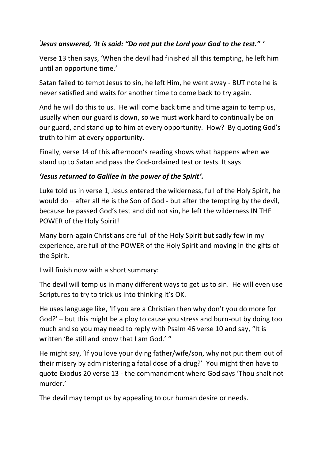## *' Jesus answered, 'It is said: "Do not put the Lord your God to the test." '*

Verse 13 then says, 'When the devil had finished all this tempting, he left him until an opportune time.'

Satan failed to tempt Jesus to sin, he left Him, he went away - BUT note he is never satisfied and waits for another time to come back to try again.

And he will do this to us. He will come back time and time again to temp us, usually when our guard is down, so we must work hard to continually be on our guard, and stand up to him at every opportunity. How? By quoting God's truth to him at every opportunity.

Finally, verse 14 of this afternoon's reading shows what happens when we stand up to Satan and pass the God-ordained test or tests. It says

#### *'Jesus returned to Galilee in the power of the Spirit'.*

Luke told us in verse 1, Jesus entered the wilderness, full of the Holy Spirit, he would do – after all He is the Son of God - but after the tempting by the devil, because he passed God's test and did not sin, he left the wilderness IN THE POWER of the Holy Spirit!

Many born-again Christians are full of the Holy Spirit but sadly few in my experience, are full of the POWER of the Holy Spirit and moving in the gifts of the Spirit.

I will finish now with a short summary:

The devil will temp us in many different ways to get us to sin. He will even use Scriptures to try to trick us into thinking it's OK.

He uses language like, 'If you are a Christian then why don't you do more for God?' – but this might be a ploy to cause you stress and burn-out by doing too much and so you may need to reply with Psalm 46 verse 10 and say, "It is written 'Be still and know that I am God.' "

He might say, 'If you love your dying father/wife/son, why not put them out of their misery by administering a fatal dose of a drug?' You might then have to quote Exodus 20 verse 13 - the commandment where God says 'Thou shalt not murder.'

The devil may tempt us by appealing to our human desire or needs.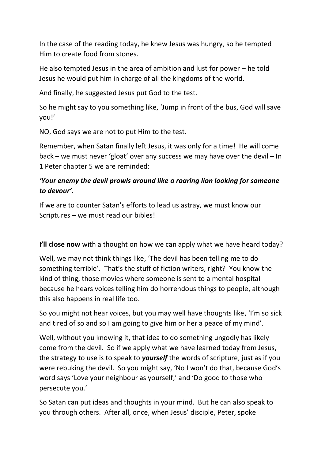In the case of the reading today, he knew Jesus was hungry, so he tempted Him to create food from stones.

He also tempted Jesus in the area of ambition and lust for power – he told Jesus he would put him in charge of all the kingdoms of the world.

And finally, he suggested Jesus put God to the test.

So he might say to you something like, 'Jump in front of the bus, God will save you!'

NO, God says we are not to put Him to the test.

Remember, when Satan finally left Jesus, it was only for a time! He will come back – we must never 'gloat' over any success we may have over the devil – In 1 Peter chapter 5 we are reminded:

## *'Your enemy the devil prowls around like a roaring lion looking for someone to devour'.*

If we are to counter Satan's efforts to lead us astray, we must know our Scriptures – we must read our bibles!

**I'll close now** with a thought on how we can apply what we have heard today?

Well, we may not think things like, 'The devil has been telling me to do something terrible'. That's the stuff of fiction writers, right? You know the kind of thing, those movies where someone is sent to a mental hospital because he hears voices telling him do horrendous things to people, although this also happens in real life too.

So you might not hear voices, but you may well have thoughts like, 'I'm so sick and tired of so and so I am going to give him or her a peace of my mind'.

Well, without you knowing it, that idea to do something ungodly has likely come from the devil. So if we apply what we have learned today from Jesus, the strategy to use is to speak to *yourself* the words of scripture, just as if you were rebuking the devil. So you might say, 'No I won't do that, because God's word says 'Love your neighbour as yourself,' and 'Do good to those who persecute you.'

So Satan can put ideas and thoughts in your mind. But he can also speak to you through others. After all, once, when Jesus' disciple, Peter, spoke